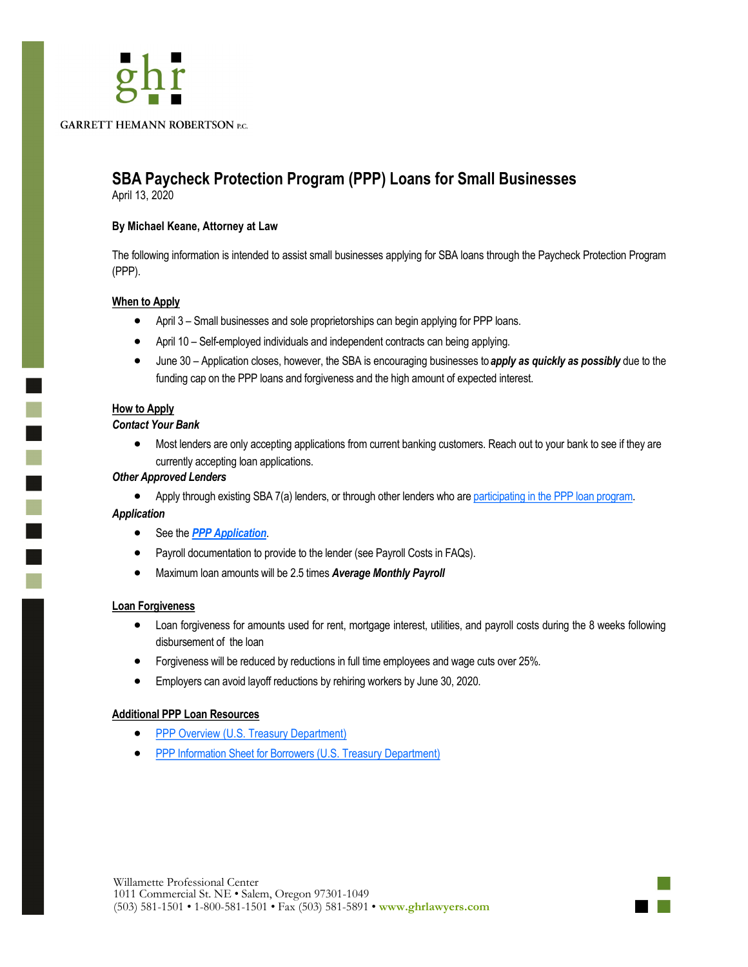**GARRETT HEMANN ROBERTSON P.C.** 

# **SBA Paycheck Protection Program (PPP) Loans for Small Businesses**

April 13, 2020

# **By Michael Keane, Attorney at Law**

The following information is intended to assist small businesses applying for SBA loans through the Paycheck Protection Program (PPP).

# **When to Apply**

- April 3 Small businesses and sole proprietorships can begin applying for PPP loans.
- April 10 Self-employed individuals and independent contracts can being applying.
- June 30 Application closes, however, the SBA is encouraging businesses to *apply as quickly as possibly* due to the funding cap on the PPP loans and forgiveness and the high amount of expected interest.

#### **How to Apply**

 $\mathbb{R}^2$ 

 $\blacksquare$ 

T

#### *Contact Your Bank*

• Most lenders are only accepting applications from current banking customers. Reach out to your bank to see if they are currently accepting loan applications.

#### *Other Approved Lenders*

• Apply through existing SBA 7(a) lenders, or through other lenders who are [participating in the PPP loan program.](https://www.sba.gov/paycheckprotection/find)

#### *Application*

- See the *[PPP Application](https://home.treasury.gov/system/files/136/Paycheck-Protection-Program-Application-3-30-2020-v3.pdf)*.
- Payroll documentation to provide to the lender (see Payroll Costs in FAQs).
- Maximum loan amounts will be 2.5 times *Average Monthly Payroll*

#### **Loan Forgiveness**

- Loan forgiveness for amounts used for rent, mortgage interest, utilities, and payroll costs during the 8 weeks following disbursement of the loan
- Forgiveness will be reduced by reductions in full time employees and wage cuts over 25%.
- Employers can avoid layoff reductions by rehiring workers by June 30, 2020.

#### **Additional PPP Loan Resources**

- [PPP Overview \(U.S. Treasury Department\)](https://home.treasury.gov/system/files/136/PPP%20--%20Overview.pdf)
- [PPP Information Sheet for Borrowers \(U.S. Treasury Department\)](https://home.treasury.gov/system/files/136/PPP%20Borrower%20Information%20Fact%20Sheet.pdf)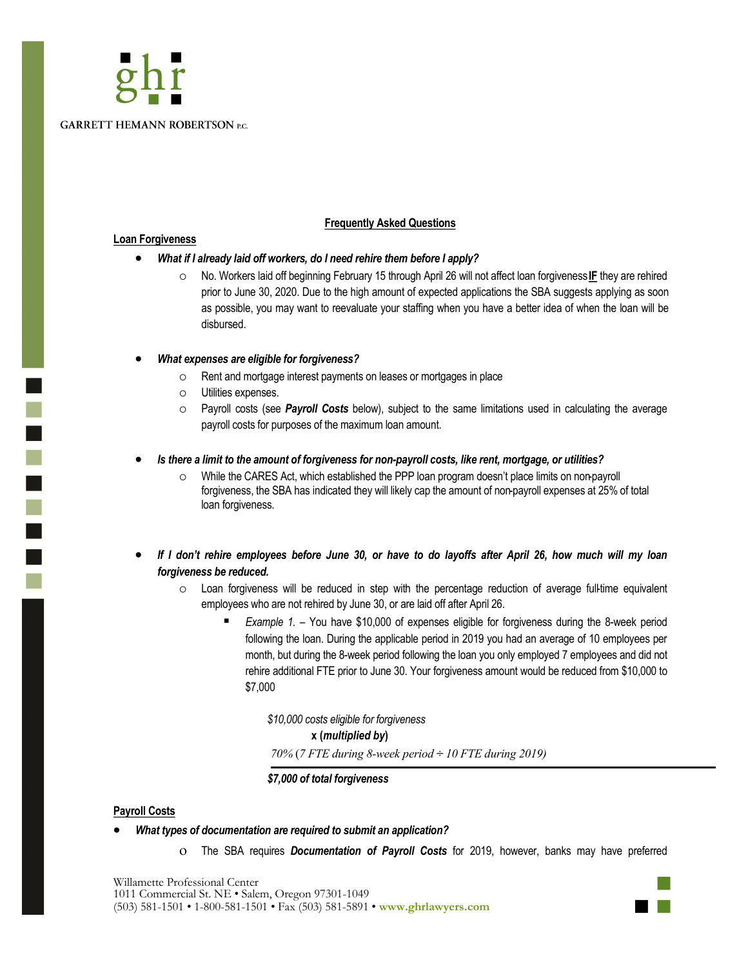

### **Frequently Asked Questions**

#### **Loan Forgiveness**

r.

# • *What if I already laid off workers, do I need rehire them before I apply?*

 No. Workers laid off beginning February 15 through April 26 will not affect loan forgiveness **IF** they are rehired prior to June 30, 2020. Due to the high amount of expected applications the SBA suggests applying as soon as possible, you may want to reevaluate your staffing when you have a better idea of when the loan will be disbursed.

# • *What expenses are eligible for forgiveness?*

- Rent and mortgage interest payments on leases or mortgages in place
- Utilities expenses.
- Payroll costs (see *Payroll Costs* below), subject to the same limitations used in calculating the average payroll costs for purposes of the maximum loan amount.

# • *Is there a limit to the amount of forgiveness for non-payroll costs, like rent, mortgage, or utilities?*

- While the CARES Act, which established the PPP loan program doesn't place limits on non-payroll forgiveness, the SBA has indicated they will likely cap the amount of non-payroll expenses at 25% of total loan forgiveness.
- *If I don't rehire employees before June 30, or have to do layoffs after April 26, how much will my loan forgiveness be reduced.*
	- $\circ$  Loan forgiveness will be reduced in step with the percentage reduction of average full-time equivalent employees who are not rehired by June 30, or are laid off after April 26.
		- *Example 1.* − You have \$10,000 of expenses eligible for forgiveness during the 8-week period following the loan. During the applicable period in 2019 you had an average of 10 employees per month, but during the 8-week period following the loan you only employed 7 employees and did not rehire additional FTE prior to June 30. Your forgiveness amount would be reduced from \$10,000 to \$7,000

*\$10,000 costs eligible for forgiveness* **x (***multiplied by***)** *70%* (*7 FTE during 8-week period ÷ 10 FTE during 2019)* 

*\$7,000 of total forgiveness*

# **Payroll Costs**

- *What types of documentation are required to submit an application?*
	- The SBA requires *Documentation of Payroll Costs* for 2019, however, banks may have preferred

Willamette Professional Center 1011 Commercial St. NE • Salem, Oregon 97301-1049 (503) 581-1501 • 1-800-581-1501 • Fax (503) 581-5891 • **www.ghrlawyers.com** 

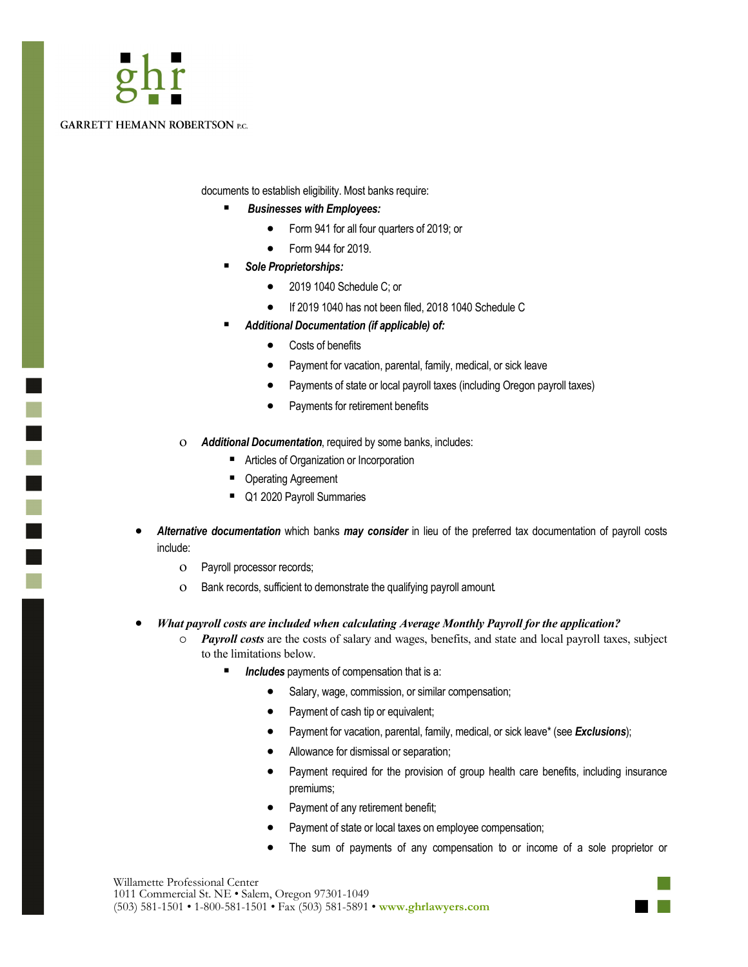

 $\mathcal{L}_{\mathcal{A}}$ 

#### **GARRETT HEMANN ROBERTSON P.C.**

documents to establish eligibility. Most banks require:

- *Businesses with Employees:*
	- Form 941 for all four quarters of 2019; or
	- Form 944 for 2019.
- *Sole Proprietorships:*
	- 2019 1040 Schedule C; or
	- If 2019 1040 has not been filed, 2018 1040 Schedule C
- *Additional Documentation (if applicable) of:*
	- Costs of benefits
	- Payment for vacation, parental, family, medical, or sick leave
	- Payments of state or local payroll taxes (including Oregon payroll taxes)
	- Payments for retirement benefits
- *Additional Documentation*, required by some banks, includes:
	- Articles of Organization or Incorporation
	- Operating Agreement
	- Q1 2020 Payroll Summaries
- *Alternative documentation* which banks *may consider* in lieu of the preferred tax documentation of payroll costs include:
	- Payroll processor records;
	- Bank records, sufficient to demonstrate the qualifying payroll amount.
- *What payroll costs are included when calculating Average Monthly Payroll for the application?*
	- *Payroll costs* are the costs of salary and wages, benefits, and state and local payroll taxes, subject to the limitations below.
		- Includes payments of compensation that is a:
			- Salary, wage, commission, or similar compensation;
			- Payment of cash tip or equivalent;
			- Payment for vacation, parental, family, medical, or sick leave\* (see *Exclusions*);
			- Allowance for dismissal or separation;
			- Payment required for the provision of group health care benefits, including insurance premiums;
			- Payment of any retirement benefit;
			- Payment of state or local taxes on employee compensation;
			- The sum of payments of any compensation to or income of a sole proprietor or